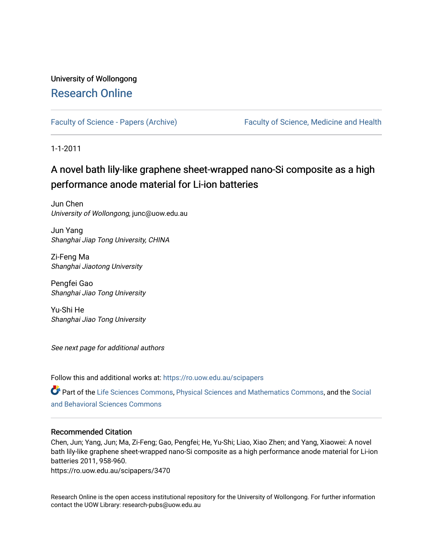## University of Wollongong [Research Online](https://ro.uow.edu.au/)

[Faculty of Science - Papers \(Archive\)](https://ro.uow.edu.au/scipapers) Faculty of Science, Medicine and Health

1-1-2011

## A novel bath lily-like graphene sheet-wr apped nano-Si composite as a high performance anode material for Li-ion batteries

Jun Chen University of Wollongong, junc@uow.edu.au

Jun Yang Shanghai Jiap Tong University, CHINA

Zi-Feng Ma Shanghai Jiaotong University

Pengfei Gao Shanghai Jiao Tong University

Yu-Shi He Shanghai Jiao Tong University

See next page for additional authors

Follow this and additional works at: [https://ro.uow.edu.au/scipapers](https://ro.uow.edu.au/scipapers?utm_source=ro.uow.edu.au%2Fscipapers%2F3470&utm_medium=PDF&utm_campaign=PDFCoverPages)

Part of the [Life Sciences Commons,](http://network.bepress.com/hgg/discipline/1016?utm_source=ro.uow.edu.au%2Fscipapers%2F3470&utm_medium=PDF&utm_campaign=PDFCoverPages) [Physical Sciences and Mathematics Commons,](http://network.bepress.com/hgg/discipline/114?utm_source=ro.uow.edu.au%2Fscipapers%2F3470&utm_medium=PDF&utm_campaign=PDFCoverPages) and the Social [and Behavioral Sciences Commons](http://network.bepress.com/hgg/discipline/316?utm_source=ro.uow.edu.au%2Fscipapers%2F3470&utm_medium=PDF&utm_campaign=PDFCoverPages) 

#### Recommended Citation

Chen, Jun; Yang, Jun; Ma, Zi-Feng; Gao, Pengfei; He, Yu-Shi; Liao, Xiao Zhen; and Yang, Xiaowei: A novel bath lily-like graphene sheet-wrapped nano-Si composite as a high performance anode material for Li-ion batteries 2011, 958-960.

https://ro.uow.edu.au/scipapers/3470

Research Online is the open access institutional repository for the University of Wollongong. For further information contact the UOW Library: research-pubs@uow.edu.au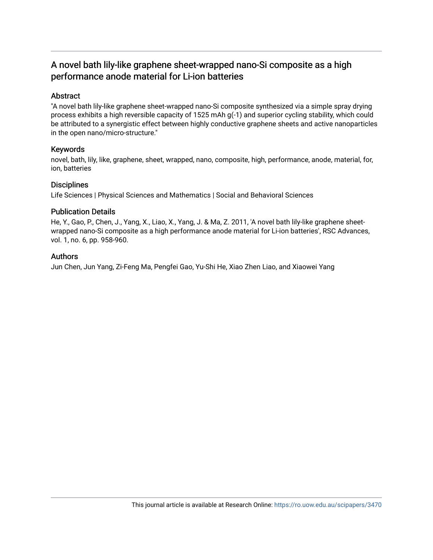## A novel bath lily-like graphene sheet-wrapped nano-Si composite as a high performance anode material for Li-ion batteries

### Abstract

"A novel bath lily-like graphene sheet-wrapped nano-Si composite synthesized via a simple spray drying process exhibits a high reversible capacity of 1525 mAh g(-1) and superior cycling stability, which could be attributed to a synergistic effect between highly conductive graphene sheets and active nanoparticles in the open nano/micro-structure."

#### Keywords

novel, bath, lily, like, graphene, sheet, wrapped, nano, composite, high, performance, anode, material, for, ion, batteries

#### **Disciplines**

Life Sciences | Physical Sciences and Mathematics | Social and Behavioral Sciences

#### Publication Details

He, Y., Gao, P., Chen, J., Yang, X., Liao, X., Yang, J. & Ma, Z. 2011, 'A novel bath lily-like graphene sheetwrapped nano-Si composite as a high performance anode material for Li-ion batteries', RSC Advances, vol. 1, no. 6, pp. 958-960.

#### Authors

Jun Chen, Jun Yang, Zi-Feng Ma, Pengfei Gao, Yu-Shi He, Xiao Zhen Liao, and Xiaowei Yang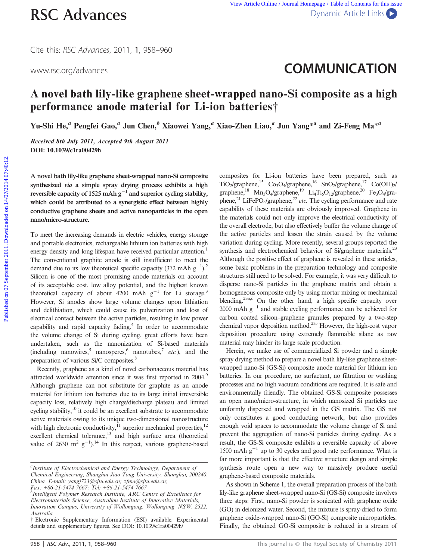Cite this: RSC Advances, 2011, 1, 958–960

# www.rsc.org/advances **COMMUNICATION**

## A novel bath lily-like graphene sheet-wrapped nano-Si composite as a high performance anode material for Li-ion batteries†

Yu-Shi He,<sup>a</sup> Pengfei Gao,<sup>a</sup> Jun Chen,<sup>b</sup> Xiaowei Yang,<sup>a</sup> Xiao-Zhen Liao,<sup>a</sup> Jun Yang<sup>\*a</sup> and Zi-Feng Ma<sup>\*a</sup>

Received 8th July 2011, Accepted 9th August 2011 DOI: 10.1039/c1ra00429h

A novel bath lily-like graphene sheet-wrapped nano-Si composite synthesized via a simple spray drying process exhibits a high reversible capacity of 1525 mAh  $g^{-1}$  and superior cycling stability, which could be attributed to a synergistic effect between highly conductive graphene sheets and active nanoparticles in the open nano/micro-structure.

To meet the increasing demands in electric vehicles, energy storage and portable electronics, rechargeable lithium ion batteries with high energy density and long lifespan have received particular attention.<sup>1</sup> The conventional graphite anode is still insufficient to meet the demand due to its low theoretical specific capacity  $(372 \text{ mA} \text{h} \text{ g}^{-1})$ .<sup>2</sup> Silicon is one of the most promising anode materials on account of its acceptable cost, low alloy potential, and the highest known theoretical capacity of about 4200 mAh  $g^{-1}$  for Li storage.<sup>3</sup> However, Si anodes show large volume changes upon lithiation and delithiation, which could cause its pulverization and loss of electrical contact between the active particles, resulting in low power capability and rapid capacity fading.<sup>4</sup> In order to accommodate the volume change of Si during cycling, great efforts have been undertaken, such as the nanonization of Si-based materials (including nanowires, nanosperes, nanotubes,  $\eta$  etc.), and the preparation of various Si/C composites.8

Recently, graphene as a kind of novel carbonaceous material has attracted worldwide attention since it was first reported in 2004.<sup>9</sup> Although graphene can not substitute for graphite as an anode material for lithium ion batteries due to its large initial irreversible capacity loss, relatively high charge/discharge plateau and limited cycling stability,<sup>10</sup> it could be an excellent substrate to accommodate active materials owing to its unique two-dimensional nanostructure with high electronic conductivity, $^{11}$  superior mechanical properties, $^{12}$ excellent chemical tolerance,<sup>13</sup> and high surface area (theoretical value of 2630 m<sup>2</sup>  $g^{-1}$ ).<sup>14</sup> In this respect, various graphene-based

Fax: +86-21-5474 7667; Tel: +86-21-5474 7667

composites for Li-ion batteries have been prepared, such as TiO<sub>2</sub>/graphene,<sup>15</sup> Co<sub>3</sub>O<sub>4</sub>/graphene,<sup>16</sup> SnO<sub>2</sub>/graphene,<sup>17</sup> Co(OH)<sub>2</sub> graphene,<sup>18</sup> Mn<sub>3</sub>O<sub>4</sub>/graphene,<sup>19</sup> Li<sub>4</sub>Ti<sub>5</sub>O<sub>12</sub>/graphene,<sup>20</sup> Fe<sub>3</sub>O<sub>4</sub>/graphene,<sup>21</sup> LiFePO<sub>4</sub>/graphene,<sup>22</sup> etc. The cycling performance and rate capability of these materials are obviously improved. Graphene in the materials could not only improve the electrical conductivity of the overall electrode, but also effectively buffer the volume change of the active particles and lessen the strain caused by the volume variation during cycling. More recently, several groups reported the synthesis and electrochemical behavior of Si/graphene materials.<sup>23</sup> Although the positive effect of graphene is revealed in these articles, some basic problems in the preparation technology and composite structures still need to be solved. For example, it was very difficult to disperse nano-Si particles in the graphene matrix and obtain a homogeneous composite only by using mortar mixing or mechanical blending.<sup>23a,b</sup> On the other hand, a high specific capacity over 2000 mAh  $g^{-1}$  and stable cycling performance can be achieved for carbon coated silicon–graphene granules prepared by a two-step chemical vapor deposition method.23<sup>e</sup> However, the high-cost vapor deposition procedure using extremely flammable silane as raw material may hinder its large scale production. **PUSC Advances**<br>
Clie this *SSC Advances*. 2011. I, 958-960<br>
Wewerscorg/advances<br> **A novel bath hily-like graphene sheet-wrapped nano-Si composite as a high<br>
performance anode material for Li-ion batteries†<br>
Yu-Shi He," P** 

> Herein, we make use of commercialized Si powder and a simple spray drying method to prepare a novel bath lily-like graphene sheetwrapped nano-Si (GS-Si) composite anode material for lithium ion batteries. In our procedure, no surfactant, no filtration or washing processes and no high vacuum conditions are required. It is safe and environmentally friendly. The obtained GS-Si composite possesses an open nano/micro-structure, in which nanosized Si particles are uniformly dispersed and wrapped in the GS matrix. The GS not only constitutes a good conducting network, but also provides enough void spaces to accommodate the volume change of Si and prevent the aggregation of nano-Si particles during cycling. As a result, the GS-Si composite exhibits a reversible capacity of above 1500 mAh  $g^{-1}$  up to 30 cycles and good rate performance. What is far more important is that the effective structure design and simple synthesis route open a new way to massively produce useful graphene-based composite materials.

> As shown in Scheme 1, the overall preparation process of the bath lily-like graphene sheet-wrapped nano-Si (GS-Si) composite involves three steps: First, nano-Si powder is sonicated with graphene oxide (GO) in deionized water. Second, the mixture is spray-dried to form graphene oxide-wrapped nano-Si (GO-Si) composite microparticles. Finally, the obtained GO-Si composite is reduced in a stream of

<sup>&</sup>lt;sup>a</sup>Institute of Electrochemical and Energy Technology, Department of Chemical Engineering, Shanghai Jiao Tong University, Shanghai, 200240, China. E-mail: yangj723@sjtu.edu.cn; zfma@sjtu.edu.cn;

<sup>&</sup>lt;sup>b</sup>Intelligent Polymer Research Institute, ARC Centre of Excellence for Electromaterials Science, Australian Institute of Innovative Materials, Innovation Campus, University of Wollongong, Wollongong, NSW, 2522, Australia

<sup>{</sup> Electronic Supplementary Information (ESI) available: Experimental details and supplementary figures. See DOI: 10.1039/c1ra00429h/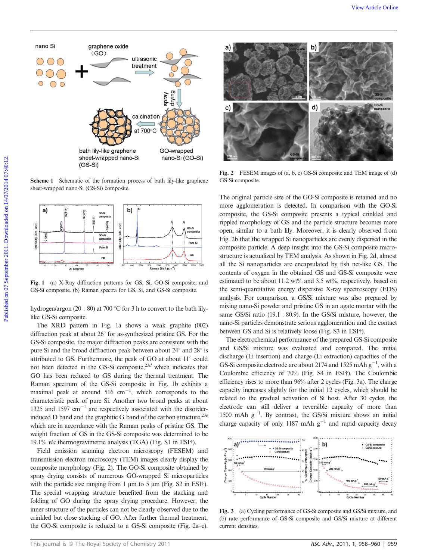

Scheme 1 Schematic of the formation process of bath lily-like graphene sheet-wrapped nano-Si (GS-Si) composite.



Fig. 1 (a) X-Ray diffraction patterns for GS, Si, GO-Si composite, and GS-Si composite. (b) Raman spectra for GS, Si, and GS-Si composite.

hydrogen/argon (20 : 80) at 700 °C for 3 h to convert to the bath lilylike GS-Si composite.

The XRD pattern in Fig. 1a shows a weak graphite (002) diffraction peak at about  $26^{\circ}$  for as-synthesized pristine GS. For the GS-Si composite, the major diffraction peaks are consistent with the pure Si and the broad diffraction peak between about  $24^{\circ}$  and  $28^{\circ}$  is attributed to GS. Furthermore, the peak of GO at about  $11^{\circ}$  could not been detected in the GS-Si composite, $^{23d}$  which indicates that GO has been reduced to GS during the thermal treatment. The Raman spectrum of the GS-Si composite in Fig. 1b exhibits a maximal peak at around  $516 \text{ cm}^{-1}$ , which corresponds to the characteristic peak of pure Si. Another two broad peaks at about 1325 and 1597  $cm^{-1}$  are respectively associated with the disorderinduced D band and the graphitic G band of the carbon structure,  $^{23e}$ which are in accordance with the Raman peaks of pristine GS. The weight fraction of GS in the GS-Si composite was determined to be 19.1% via thermogravimetric analysis (TGA) (Fig. S1 in ESI{).

Field emission scanning electron microscopy (FESEM) and transmission electron microscopy (TEM) images clearly display the composite morphology (Fig. 2). The GO-Si composite obtained by spray drying consists of numerous GO-wrapped Si microparticles with the particle size ranging from 1  $\mu$ m to 5  $\mu$ m (Fig. S2 in ESI $\dagger$ ). The special wrapping structure benefited from the stacking and folding of GO during the spray drying procedure. However, the inner structure of the particles can not be clearly observed due to the crinkled but close stacking of GO. After further thermal treatment, the GO-Si composite is reduced to a GS-Si composite (Fig. 2a–c).



Fig. 2 FESEM images of (a, b, c) GS-Si composite and TEM image of (d) GS-Si composite.

The original particle size of the GO-Si composite is retained and no more agglomeration is detected. In comparison with the GO-Si composite, the GS-Si composite presents a typical crinkled and rippled morphology of GS and the particle structure becomes more open, similar to a bath lily. Moreover, it is clearly observed from Fig. 2b that the wrapped Si nanoparticles are evenly dispersed in the composite particle. A deep insight into the GS-Si composite microstructure is actualized by TEM analysis. As shown in Fig. 2d, almost all the Si nanoparticles are encapsulated by fish net-like GS. The contents of oxygen in the obtained GS and GS-Si composite were estimated to be about 11.2 wt% and 3.5 wt%, respectively, based on the semi-quantitative energy dispersive X-ray spectroscopy (EDS) analysis. For comparison, a GS/Si mixture was also prepared by mixing nano-Si powder and pristine GS in an agate mortar with the same GS/Si ratio (19.1 : 80.9). In the GS/Si mixture, however, the nano-Si particles demonstrate serious agglomeration and the contact between GS and Si is relatively loose (Fig. S3 in ESI†).

The electrochemical performance of the prepared GS-Si composite and GS/Si mixture was evaluated and compared. The initial discharge (Li insertion) and charge (Li extraction) capacities of the GS-Si composite electrode are about 2174 and 1525 mAh  $g^{-1}$ , with a Coulombic efficiency of 70% (Fig. S4 in ESI†). The Coulombic efficiency rises to more than 96% after 2 cycles (Fig. 3a). The charge capacity increases slightly for the initial 12 cycles, which should be related to the gradual activation of Si host. After 30 cycles, the electrode can still deliver a reversible capacity of more than 1500 mAh  $g^{-1}$ . By contrast, the GS/Si mixture shows an initial charge capacity of only 1187 mAh  $g^{-1}$  and rapid capacity decay



Fig. 3 (a) Cycling performance of GS-Si composite and GS/Si mixture, and (b) rate performance of GS-Si composite and GS/Si mixture at different current densities.